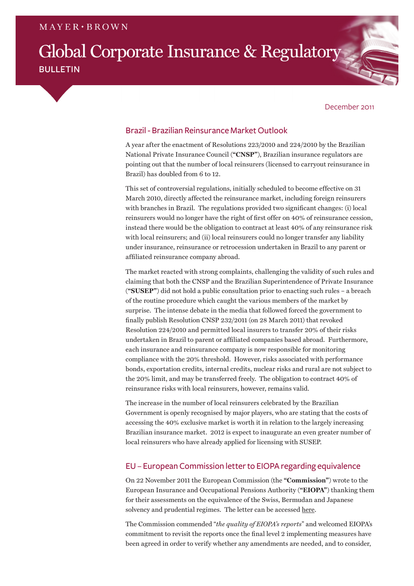# Global Corporate Insurance & Regulatory **BULLETIN**

#### December 2011

# Brazil - Brazilian Reinsurance Market Outlook

A year after the enactment of Resolutions 223/2010 and 224/2010 by the Brazilian National Private Insurance Council (**"CNSP"**), Brazilian insurance regulators are pointing out that the number of local reinsurers (licensed to carryout reinsurance in Brazil) has doubled from 6 to 12.

This set of controversial regulations, initially scheduled to become effective on 31 March 2010, directly affected the reinsurance market, including foreign reinsurers with branches in Brazil. The regulations provided two significant changes: (i) local reinsurers would no longer have the right of first offer on 40% of reinsurance cession, instead there would be the obligation to contract at least 40% of any reinsurance risk with local reinsurers; and (ii) local reinsurers could no longer transfer any liability under insurance, reinsurance or retrocession undertaken in Brazil to any parent or affiliated reinsurance company abroad.

The market reacted with strong complaints, challenging the validity of such rules and claiming that both the CNSP and the Brazilian Superintendence of Private Insurance (**"SUSEP"**) did not hold a public consultation prior to enacting such rules – a breach of the routine procedure which caught the various members of the market by surprise. The intense debate in the media that followed forced the government to finally publish Resolution CNSP 232/2011 (on 28 March 2011) that revoked Resolution 224/2010 and permitted local insurers to transfer 20% of their risks undertaken in Brazil to parent or affiliated companies based abroad. Furthermore, each insurance and reinsurance company is now responsible for monitoring compliance with the 20% threshold. However, risks associated with performance bonds, exportation credits, internal credits, nuclear risks and rural are not subject to the 20% limit, and may be transferred freely. The obligation to contract 40% of reinsurance risks with local reinsurers, however, remains valid.

The increase in the number of local reinsurers celebrated by the Brazilian Government is openly recognised by major players, who are stating that the costs of accessing the 40% exclusive market is worth it in relation to the largely increasing Brazilian insurance market. 2012 is expect to inaugurate an even greater number of local reinsurers who have already applied for licensing with SUSEP.

# EU – European Commission letter to EIOPA regarding equivalence

On 22 November 2011 the European Commission (the **"Commission"**) wrote to the European Insurance and Occupational Pensions Authority (**"EIOPA"**) thanking them for their assessments on the equivalence of the Swiss, Bermudan and Japanese solvency and prudential regimes. The letter can be accessed [here.](http://ec.europa.eu/internal_market/insurance/docs/solvency/faull_november_2011_en.pdf)

The Commission commended "*the quality of EIOPA's reports*" and welcomed EIOPA's commitment to revisit the reports once the final level 2 implementing measures have been agreed in order to verify whether any amendments are needed, and to consider,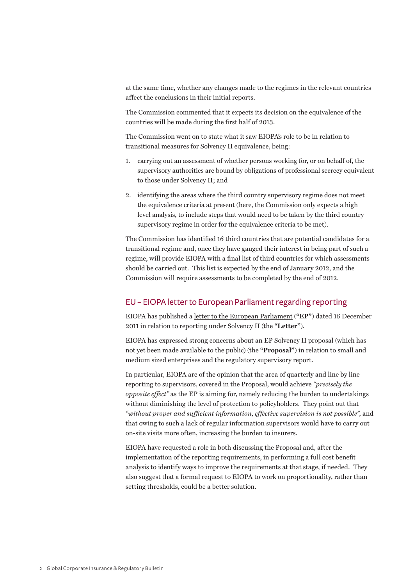at the same time, whether any changes made to the regimes in the relevant countries affect the conclusions in their initial reports.

The Commission commented that it expects its decision on the equivalence of the countries will be made during the first half of 2013.

The Commission went on to state what it saw EIOPA's role to be in relation to transitional measures for Solvency II equivalence, being:

- 1. carrying out an assessment of whether persons working for, or on behalf of, the supervisory authorities are bound by obligations of professional secrecy equivalent to those under Solvency II; and
- 2. identifying the areas where the third country supervisory regime does not meet the equivalence criteria at present (here, the Commission only expects a high level analysis, to include steps that would need to be taken by the third country supervisory regime in order for the equivalence criteria to be met).

The Commission has identified 16 third countries that are potential candidates for a transitional regime and, once they have gauged their interest in being part of such a regime, will provide EIOPA with a final list of third countries for which assessments should be carried out. This list is expected by the end of January 2012, and the Commission will require assessments to be completed by the end of 2012.

## EU – EIOPA letter to European Parliament regarding reporting

EIOPA has published a [letter to the European Parliament](https://eiopa.europa.eu/fileadmin/tx_dam/files/publications/otherdocuments/EIOPA_11_237_Burkhard_Balz.pdf) (**"EP"**) dated 16 December 2011 in relation to reporting under Solvency II (the **"Letter"**).

EIOPA has expressed strong concerns about an EP Solvency II proposal (which has not yet been made available to the public) (the **"Proposal"**) in relation to small and medium sized enterprises and the regulatory supervisory report.

In particular, EIOPA are of the opinion that the area of quarterly and line by line reporting to supervisors, covered in the Proposal, would achieve *"precisely the opposite effect"* as the EP is aiming for, namely reducing the burden to undertakings without diminishing the level of protection to policyholders. They point out that *"without proper and sufficient information, effective supervision is not possible"*, and that owing to such a lack of regular information supervisors would have to carry out on-site visits more often, increasing the burden to insurers.

EIOPA have requested a role in both discussing the Proposal and, after the implementation of the reporting requirements, in performing a full cost benefit analysis to identify ways to improve the requirements at that stage, if needed. They also suggest that a formal request to EIOPA to work on proportionality, rather than setting thresholds, could be a better solution.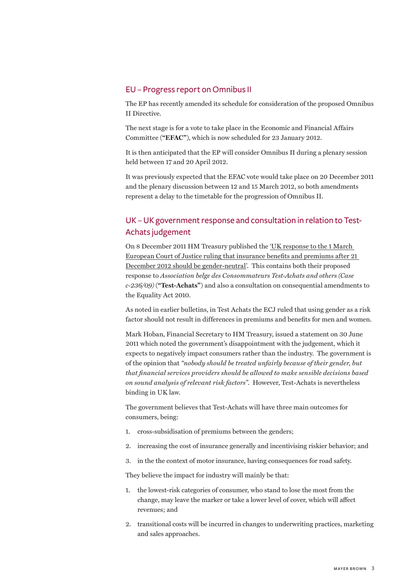### EU – Progress report on Omnibus II

The EP has recently amended its schedule for consideration of the proposed Omnibus II Directive.

The next stage is for a vote to take place in the Economic and Financial Affairs Committee (**"EFAC"**), which is now scheduled for 23 January 2012.

It is then anticipated that the EP will consider Omnibus II during a plenary session held between 17 and 20 April 2012.

It was previously expected that the EFAC vote would take place on 20 December 2011 and the plenary discussion between 12 and 15 March 2012, so both amendments represent a delay to the timetable for the progression of Omnibus II.

# UK – UK government response and consultation in relation to Test-Achats judgement

On 8 December 2011 HM Treasury published the ['UK response to the 1 March](http://www.hm-treasury.gov.uk/d/condoc_insurance_benefits_and_premiums.pdf)  [European Court of Justice ruling that insurance benefits and premiums after 21](http://www.hm-treasury.gov.uk/d/condoc_insurance_benefits_and_premiums.pdf)  [December 2012 should be gender-neutral'](http://www.hm-treasury.gov.uk/d/condoc_insurance_benefits_and_premiums.pdf). This contains both their proposed response to *Association belge des Consommateurs Test-Achats and others (Case c-236/09)* (**"Test-Achats"**) and also a consultation on consequential amendments to the Equality Act 2010.

As noted in earlier bulletins, in Test Achats the ECJ ruled that using gender as a risk factor should not result in differences in premiums and benefits for men and women.

Mark Hoban, Financial Secretary to HM Treasury, issued a statement on 30 June 2011 which noted the government's disappointment with the judgement, which it expects to negatively impact consumers rather than the industry. The government is of the opinion that *"nobody should be treated unfairly because of their gender, but that financial services providers should be allowed to make sensible decisions based on sound analysis of relevant risk factors"*. However, Test-Achats is nevertheless binding in UK law.

The government believes that Test-Achats will have three main outcomes for consumers, being:

- 1. cross-subsidisation of premiums between the genders;
- 2. increasing the cost of insurance generally and incentivising riskier behavior; and
- 3. in the the context of motor insurance, having consequences for road safety.

They believe the impact for industry will mainly be that:

- 1. the lowest-risk categories of consumer, who stand to lose the most from the change, may leave the marker or take a lower level of cover, which will affect revenues; and
- 2. transitional costs will be incurred in changes to underwriting practices, marketing and sales approaches.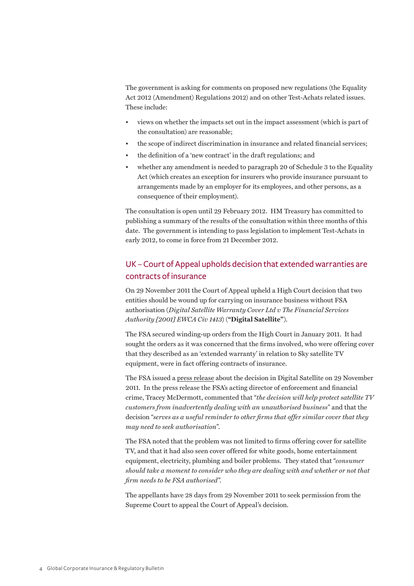The government is asking for comments on proposed new regulations (the Equality Act 2012 (Amendment) Regulations 2012) and on other Test-Achats related issues. These include:

- views on whether the impacts set out in the impact assessment (which is part of the consultation) are reasonable;
- the scope of indirect discrimination in insurance and related financial services;
- the definition of a 'new contract' in the draft regulations; and
- whether any amendment is needed to paragraph 20 of Schedule 3 to the Equality Act (which creates an exception for insurers who provide insurance pursuant to arrangements made by an employer for its employees, and other persons, as a consequence of their employment).

The consultation is open until 29 February 2012. HM Treasury has committed to publishing a summary of the results of the consultation within three months of this date. The government is intending to pass legislation to implement Test-Achats in early 2012, to come in force from 21 December 2012.

# UK – Court of Appeal upholds decision that extended warranties are contracts of insurance

On 29 November 2011 the Court of Appeal upheld a High Court decision that two entities should be wound up for carrying on insurance business without FSA authorisation (*Digital Satellite Warranty Cover Ltd v The Financial Services Authority [2001] EWCA Civ 1413*) (**"Digital Satellite"**).

The FSA secured winding-up orders from the High Court in January 2011. It had sought the orders as it was concerned that the firms involved, who were offering cover that they described as an 'extended warranty' in relation to Sky satellite TV equipment, were in fact offering contracts of insurance.

The FSA issued a [press release](http://www.fsa.gov.uk/pages/Library/Communication/PR/2011/103.shtml) about the decision in Digital Satellite on 29 November 2011. In the press release the FSA's acting director of enforcement and financial crime, Tracey McDermott, commented that "*the decision will help protect satellite TV customers from inadvertently dealing with an unauthorised business*" and that the decision "*serves as a useful reminder to other firms that offer similar cover that they may need to seek authorisation*".

The FSA noted that the problem was not limited to firms offering cover for satellite TV, and that it had also seen cover offered for white goods, home entertainment equipment, electricity, plumbing and boiler problems. They stated that "*consumer should take a moment to consider who they are dealing with and whether or not that firm needs to be FSA authorised".*

The appellants have 28 days from 29 November 2011 to seek permission from the Supreme Court to appeal the Court of Appeal's decision.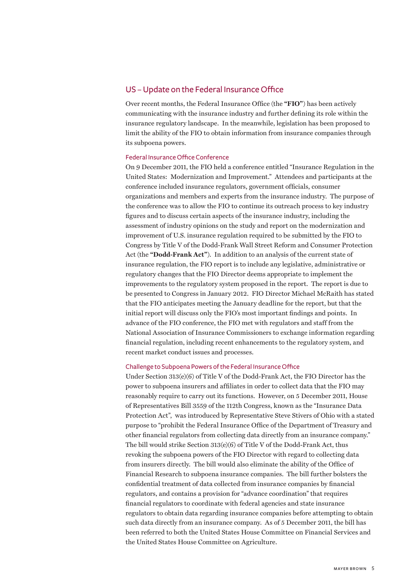### US – Update on the Federal Insurance Office

Over recent months, the Federal Insurance Office (the **"FIO"**) has been actively communicating with the insurance industry and further defining its role within the insurance regulatory landscape. In the meanwhile, legislation has been proposed to limit the ability of the FIO to obtain information from insurance companies through its subpoena powers.

#### Federal Insurance Office Conference

On 9 December 2011, the FIO held a conference entitled "Insurance Regulation in the United States: Modernization and Improvement." Attendees and participants at the conference included insurance regulators, government officials, consumer organizations and members and experts from the insurance industry. The purpose of the conference was to allow the FIO to continue its outreach process to key industry figures and to discuss certain aspects of the insurance industry, including the assessment of industry opinions on the study and report on the modernization and improvement of U.S. insurance regulation required to be submitted by the FIO to Congress by Title V of the Dodd-Frank Wall Street Reform and Consumer Protection Act (the **"Dodd-Frank Act"**). In addition to an analysis of the current state of insurance regulation, the FIO report is to include any legislative, administrative or regulatory changes that the FIO Director deems appropriate to implement the improvements to the regulatory system proposed in the report. The report is due to be presented to Congress in January 2012. FIO Director Michael McRaith has stated that the FIO anticipates meeting the January deadline for the report, but that the initial report will discuss only the FIO's most important findings and points. In advance of the FIO conference, the FIO met with regulators and staff from the National Association of Insurance Commissioners to exchange information regarding financial regulation, including recent enhancements to the regulatory system, and recent market conduct issues and processes.

#### Challenge to Subpoena Powers of the Federal Insurance Office

Under Section 313(e)(6) of Title V of the Dodd-Frank Act, the FIO Director has the power to subpoena insurers and affiliates in order to collect data that the FIO may reasonably require to carry out its functions. However, on 5 December 2011, House of Representatives Bill 3559 of the 112th Congress, known as the "Insurance Data Protection Act", was introduced by Representative Steve Stivers of Ohio with a stated purpose to "prohibit the Federal Insurance Office of the Department of Treasury and other financial regulators from collecting data directly from an insurance company." The bill would strike Section 313(e)(6) of Title V of the Dodd-Frank Act, thus revoking the subpoena powers of the FIO Director with regard to collecting data from insurers directly. The bill would also eliminate the ability of the Office of Financial Research to subpoena insurance companies. The bill further bolsters the confidential treatment of data collected from insurance companies by financial regulators, and contains a provision for "advance coordination" that requires financial regulators to coordinate with federal agencies and state insurance regulators to obtain data regarding insurance companies before attempting to obtain such data directly from an insurance company. As of 5 December 2011, the bill has been referred to both the United States House Committee on Financial Services and the United States House Committee on Agriculture.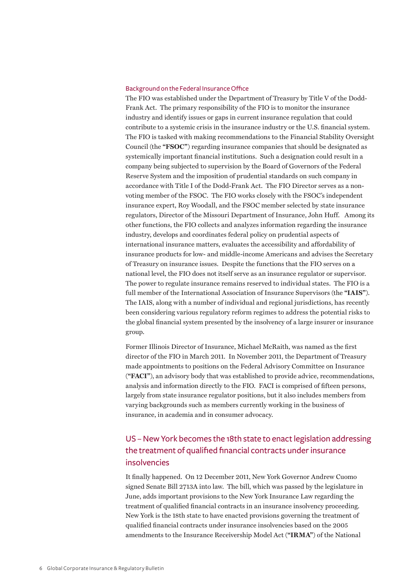#### Background on the Federal Insurance Office

The FIO was established under the Department of Treasury by Title V of the Dodd-Frank Act. The primary responsibility of the FIO is to monitor the insurance industry and identify issues or gaps in current insurance regulation that could contribute to a systemic crisis in the insurance industry or the U.S. financial system. The FIO is tasked with making recommendations to the Financial Stability Oversight Council (the **"FSOC"**) regarding insurance companies that should be designated as systemically important financial institutions. Such a designation could result in a company being subjected to supervision by the Board of Governors of the Federal Reserve System and the imposition of prudential standards on such company in accordance with Title I of the Dodd-Frank Act. The FIO Director serves as a nonvoting member of the FSOC. The FIO works closely with the FSOC's independent insurance expert, Roy Woodall, and the FSOC member selected by state insurance regulators, Director of the Missouri Department of Insurance, John Huff. Among its other functions, the FIO collects and analyzes information regarding the insurance industry, develops and coordinates federal policy on prudential aspects of international insurance matters, evaluates the accessibility and affordability of insurance products for low- and middle-income Americans and advises the Secretary of Treasury on insurance issues. Despite the functions that the FIO serves on a national level, the FIO does not itself serve as an insurance regulator or supervisor. The power to regulate insurance remains reserved to individual states. The FIO is a full member of the International Association of Insurance Supervisors (the **"IAIS"**). The IAIS, along with a number of individual and regional jurisdictions, has recently been considering various regulatory reform regimes to address the potential risks to the global financial system presented by the insolvency of a large insurer or insurance group.

Former Illinois Director of Insurance, Michael McRaith, was named as the first director of the FIO in March 2011. In November 2011, the Department of Treasury made appointments to positions on the Federal Advisory Committee on Insurance (**"FACI"**), an advisory body that was established to provide advice, recommendations, analysis and information directly to the FIO. FACI is comprised of fifteen persons, largely from state insurance regulator positions, but it also includes members from varying backgrounds such as members currently working in the business of insurance, in academia and in consumer advocacy.

# US – New York becomes the 18th state to enact legislation addressing the treatment of qualified financial contracts under insurance insolvencies

It finally happened. On 12 December 2011, New York Governor Andrew Cuomo signed Senate Bill 2713A into law. The bill, which was passed by the legislature in June, adds important provisions to the New York Insurance Law regarding the treatment of qualified financial contracts in an insurance insolvency proceeding. New York is the 18th state to have enacted provisions governing the treatment of qualified financial contracts under insurance insolvencies based on the 2005 amendments to the Insurance Receivership Model Act (**"IRMA"**) of the National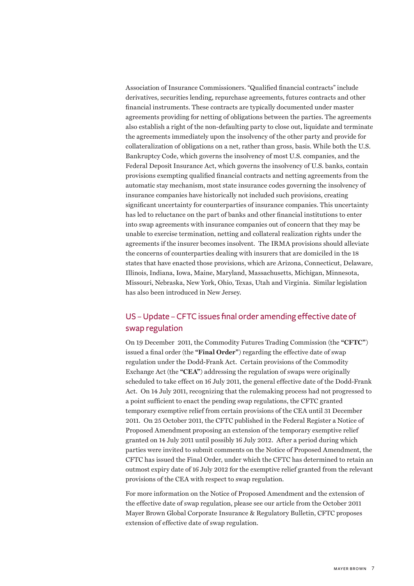Association of Insurance Commissioners. "Qualified financial contracts" include derivatives, securities lending, repurchase agreements, futures contracts and other financial instruments. These contracts are typically documented under master agreements providing for netting of obligations between the parties. The agreements also establish a right of the non-defaulting party to close out, liquidate and terminate the agreements immediately upon the insolvency of the other party and provide for collateralization of obligations on a net, rather than gross, basis. While both the U.S. Bankruptcy Code, which governs the insolvency of most U.S. companies, and the Federal Deposit Insurance Act, which governs the insolvency of U.S. banks, contain provisions exempting qualified financial contracts and netting agreements from the automatic stay mechanism, most state insurance codes governing the insolvency of insurance companies have historically not included such provisions, creating significant uncertainty for counterparties of insurance companies. This uncertainty has led to reluctance on the part of banks and other financial institutions to enter into swap agreements with insurance companies out of concern that they may be unable to exercise termination, netting and collateral realization rights under the agreements if the insurer becomes insolvent. The IRMA provisions should alleviate the concerns of counterparties dealing with insurers that are domiciled in the 18 states that have enacted those provisions, which are Arizona, Connecticut, Delaware, Illinois, Indiana, Iowa, Maine, Maryland, Massachusetts, Michigan, Minnesota, Missouri, Nebraska, New York, Ohio, Texas, Utah and Virginia. Similar legislation has also been introduced in New Jersey.

# US – Update – CFTC issues final order amending effective date of swap regulation

On 19 December 2011, the Commodity Futures Trading Commission (the **"CFTC"**) issued a final order (the **"Final Order"**) regarding the effective date of swap regulation under the Dodd-Frank Act. Certain provisions of the Commodity Exchange Act (the **"CEA"**) addressing the regulation of swaps were originally scheduled to take effect on 16 July 2011, the general effective date of the Dodd-Frank Act. On 14 July 2011, recognizing that the rulemaking process had not progressed to a point sufficient to enact the pending swap regulations, the CFTC granted temporary exemptive relief from certain provisions of the CEA until 31 December 2011. On 25 October 2011, the CFTC published in the Federal Register a Notice of Proposed Amendment proposing an extension of the temporary exemptive relief granted on 14 July 2011 until possibly 16 July 2012. After a period during which parties were invited to submit comments on the Notice of Proposed Amendment, the CFTC has issued the Final Order, under which the CFTC has determined to retain an outmost expiry date of 16 July 2012 for the exemptive relief granted from the relevant provisions of the CEA with respect to swap regulation.

For more information on the Notice of Proposed Amendment and the extension of the effective date of swap regulation, please see our article from the October 2011 Mayer Brown Global Corporate Insurance & Regulatory Bulletin, CFTC proposes extension of effective date of swap regulation.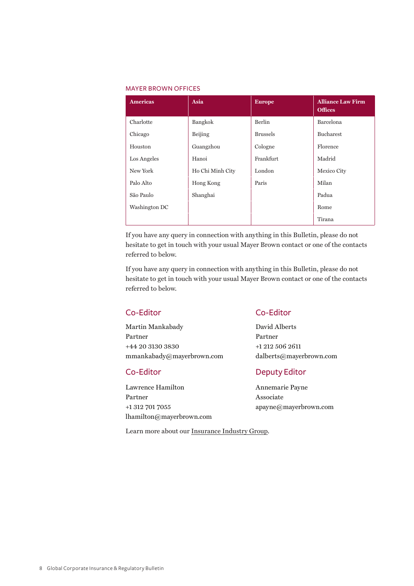#### Mayer Brown offices

| <b>Americas</b> | Asia             | <b>Europe</b>   | <b>Alliance Law Firm</b><br><b>Offices</b> |
|-----------------|------------------|-----------------|--------------------------------------------|
| Charlotte       | Bangkok          | Berlin          | Barcelona                                  |
| Chicago         | Beijing          | <b>Brussels</b> | Bucharest                                  |
| Houston         | Guangzhou        | Cologne         | Florence                                   |
| Los Angeles     | Hanoi            | Frankfurt       | Madrid                                     |
| New York        | Ho Chi Minh City | London          | Mexico City                                |
| Palo Alto       | Hong Kong        | Paris           | Milan                                      |
| São Paulo       | Shanghai         |                 | Padua                                      |
| Washington DC   |                  |                 | Rome                                       |
|                 |                  |                 | Tirana                                     |

If you have any query in connection with anything in this Bulletin, please do not hesitate to get in touch with your usual Mayer Brown contact or one of the contacts referred to below.

If you have any query in connection with anything in this Bulletin, please do not hesitate to get in touch with your usual Mayer Brown contact or one of the contacts referred to below.

Martin Mankabady David Alberts Partner Partner +44 20 3130 3830 +1 212 506 2611 mmankabady@mayerbrown.com dalberts@mayerbrown.com

Lawrence Hamilton Annemarie Payne Partner Associate +1 312 701 7055 apayne@mayerbrown.com lhamilton@mayerbrown.com

# Co-Editor Co-Editor

# Co-Editor Deputy Editor

Learn more about our [Insurance Industry Group](http://www.mayerbrown.com/insurance/).